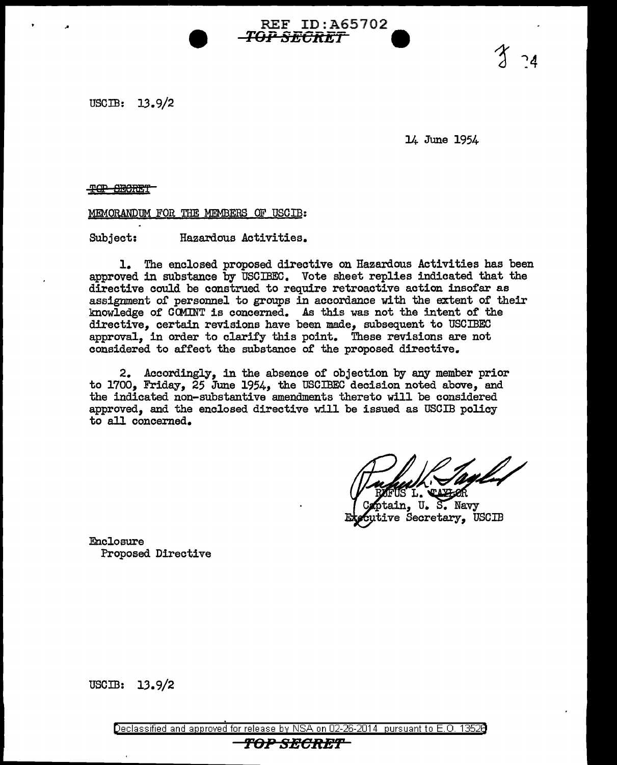USCIB: 13.9/2

14 June 1954

<del>TOP SECRET</del>

MEMORANDUM FOR THE MEMBERS OF USCIB:

Subject: Hazardous Activities.

1. The enclosed proposed directive on Hazardous Activities has been approved in substance by USCIBEC. Vote sheet replies indicated that the directive could be construed to require retroactive action insofar as assignment of personnel to groups in accordance with the extent of their knowledge or CCMmT is concerned. As this was not the intent of the directive. certain revisions have been made, subsequent to USCIBEC approval, in order to clarify this point. These revisions are not considered to affect the substance of the proposed directive.

REF ID:A65702

*TOP SECRE1* **9** 

2. Accordingly, in the absence of objection by any member prior to 1700, Friday, 25 June 1954, the USCIBEC decision noted above, and the indicated non-substantive amendments thereto will be considered approved, and the enclosed directive will be issued as USCIB policy to all concerned.

/ DOLOR D. CALCOR

in. U. S. Navv ve Secretary, USCIB

Enclosure Proposed Directive

USCIB: 13.9/2

Declassified and approved for release by NSA on 02-26-2014 pursuant to E. 0. 1352B TOP SECRET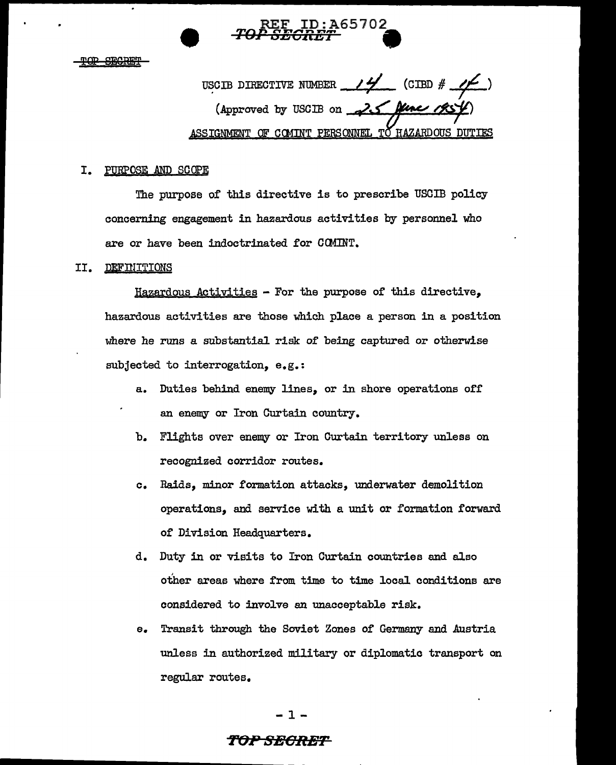

USCIB DIRECTIVE NUMBER  $\frac{14}{100}$  (CIBD # (Approved by USCIB on **20** ASSIGNMENT OF COMINT PERSONNEL TO HAZARDOUS DUTIES

## I. PURPOSE AND SCOPE

The purpose of this directive is to prescribe USCIB policy concerning engagement in hazardous activities by personnel who are or have been indoctrinated for COMINT.

### II. DEFINITIONS

Hazardous Activities - For the purpose of this directive, hazardous activities are those which place a person in a position where he runs a substantial risk of being captured or otherwise subjected to interrogation, e.g.:

- a. Duties behind enemy lines, or in shore operations off an enemy or Iron Curtain country.
- b. Flights over enemy or Iron Curtain territory unless on recognized corridor routes.
- c. Raids, minor formation attacks, underwater demolition operations, and service with a unit or formation forward of Division Headquarters.
- d. Duty in or visits to Iron Curtain countries and also other areas where from time to time local conditions are considered to involve an unacceptable risk.
- e. Transit through the Soviet Zones of Germany and Austria unless in authorized military or diplomatic transport on regular routes.

-1-

# *TeJPSBCRET*  of the state of the state of the state of the state of the state of the state of the state of the state of the<br>Experimental state of the state of the state of the state of the state of the state of the state of the state o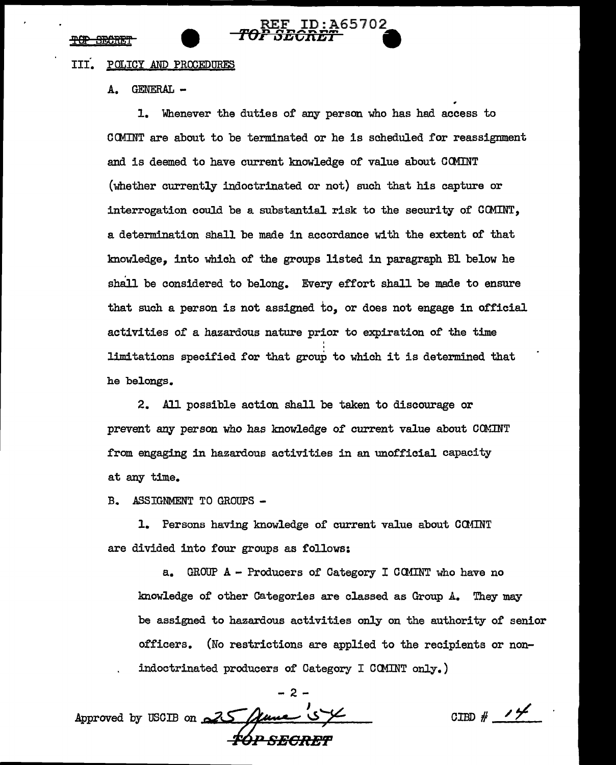### IIf. POLICY AND PROOEDURES

A. GENERAL -

1. Whenever the duties of any person who has had access to COMINT are about to be terminated or he is scheduled for reassignment and is deemed to have current knowledge of value about CCMINT (whether currently indoctrinated or not) such that his capture or interrogation could be a substantial risk to the security of CCMINT, a determination shall be made in accordance with the extent of that knowledge, into which of the groups listed in paragraph Bl below he shall be considered to belong. Every effort shall be made to ensure that such a person is not assigned to, or does not engage in official activities of a hazardous nature prior to expiration of the time ' limitations specified for that group to which it is determined that he belongs.

REF ID:A65702 *ro <sup>0</sup>*,..,..,.\_ ......... \_.. **a**  :r l)J:I **Clll::Z:ll** -

2. All possible action shall be taken to discourage or prevent any person who has knowledge of current value about COMINT from engaging in hazardous activities in an unofficial capacity at any time.

B. ASSIGNMENT TO GROUPS -

1. Persons having knowledge of current value about COMINT are divided into four groups as follows:

a. GROUP  $A$  - Producers of Category I COMINT who have no knowledge of other Categories are classed as Group *A.* They may be assigned to hazardous activities only on the authority of senior officers. (No restrictions are applied to the recipients or nonindoctrinated producers of Category I CCMINT only.)

-2- Approved by USCIB on 25

 $\frac{1}{2}$   $\frac{1}{2}$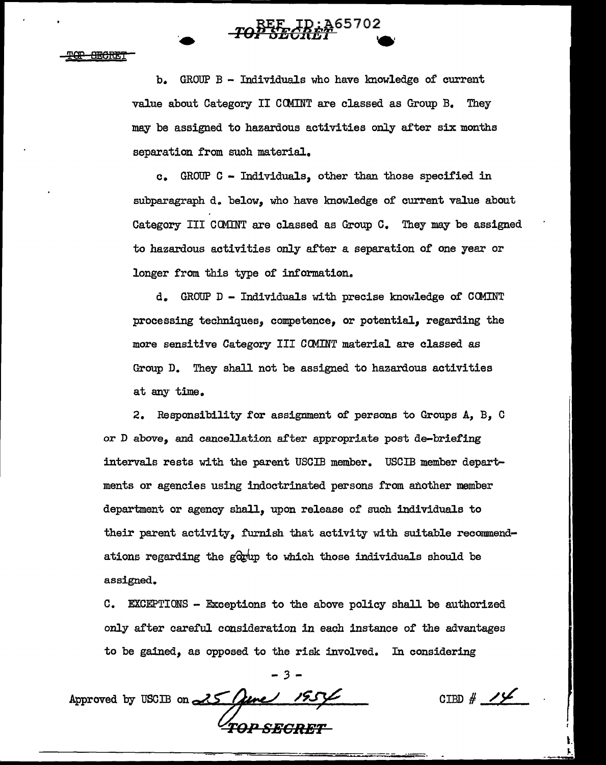••

b. GROUP  $B - Individuals$  who have knowledge of current value about Category II CCMINT are classed as Group B. They may be assigned to hazardous activities only after six months separation from such material.

c. GROUP C - Individuals, other than those specified in subparagraph d. below, who have lmowledge of current value about Category III CCMINT are classed as Group c. They may be assigned to hazardous activities only after a separation of one year or longer from this type of information.

d. GROUP D - Individuals with precise knowledge of COMINT processing techniques, competence, or potential, regarding the more sensitive Category III CCMINT material are classed as Group D. They shall not be assigned to hazardous activities at any time.

2. Responsibility for assignment of persons to Groups A, B, C or D above, and cancellation after appropriate post de-briefing intervals rests with the parent USCIB member. USCIB member departments or agencies using indoctrinated persons from another member department or agency shall, upon release of such individuals to their parent activity, furnish that activity with suitable recommendations regarding the  $g_{x}^{(0)}$  to which those individuals should be assigned.

C. EXCEPTIONS - Exceptions to the above policy shall be authorized only after careful consideration in each instance of the advantages to be gained, as opposed to the risk involved. In considering

*-3-*

Approved by USCIB on  $25$ *T0 ... <sup>0</sup> SBGRBT* 

CIBD *# /Jf*